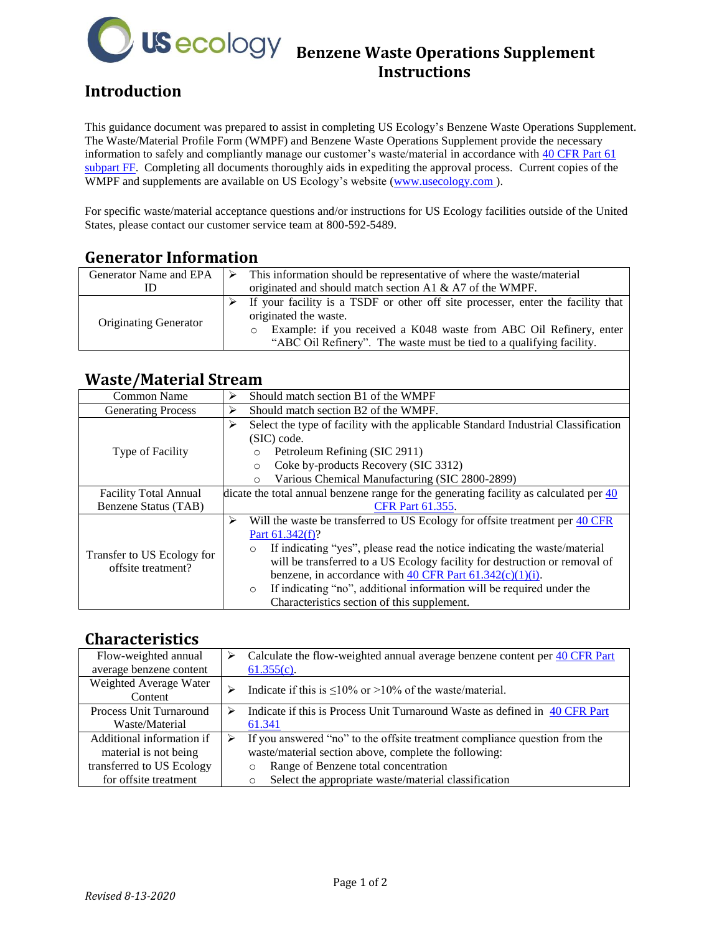

# **US eCOlOGY** Benzene Waste Operations Supplement **Instructions**

## **Introduction**

This guidance document was prepared to assist in completing US Ecology's Benzene Waste Operations Supplement. The Waste/Material Profile Form (WMPF) and Benzene Waste Operations Supplement provide the necessary information to safely and compliantly manage our customer's waste/material in accordance with [40 CFR Part 61](https://www.ecfr.gov/cgi-bin/text-idx?SID=52e4ed3c089bf77ad2624e8e4336c52c&mc=true&node=sp40.10.61.ff&rgn=div6)  [subpart FF.](https://www.ecfr.gov/cgi-bin/text-idx?SID=52e4ed3c089bf77ad2624e8e4336c52c&mc=true&node=sp40.10.61.ff&rgn=div6) Completing all documents thoroughly aids in expediting the approval process. Current copies of the WMPF and supplements are available on US Ecology's website (www.usecology.com).

For specific waste/material acceptance questions and/or instructions for US Ecology facilities outside of the United States, please contact our customer service team at 800-592-5489.

### **Generator Information**

| Generator Name and EPA       | This information should be representative of where the waste/material           |
|------------------------------|---------------------------------------------------------------------------------|
|                              | originated and should match section A1 & A7 of the WMPF.                        |
| <b>Originating Generator</b> | If your facility is a TSDF or other off site processer, enter the facility that |
|                              | originated the waste.                                                           |
|                              | Example: if you received a K048 waste from ABC Oil Refinery, enter<br>$\circ$   |
|                              | "ABC Oil Refinery". The waste must be tied to a qualifying facility.            |

### **Waste/Material Stream**

| <b>Common Name</b>                               | Should match section B1 of the WMPF<br>⋗                                                            |  |  |
|--------------------------------------------------|-----------------------------------------------------------------------------------------------------|--|--|
| <b>Generating Process</b>                        | Should match section B2 of the WMPF.<br>⋗                                                           |  |  |
| Type of Facility                                 | Select the type of facility with the applicable Standard Industrial Classification<br>⋗             |  |  |
|                                                  | (SIC) code.                                                                                         |  |  |
|                                                  | Petroleum Refining (SIC 2911)<br>$\circ$                                                            |  |  |
|                                                  | Coke by-products Recovery (SIC 3312)<br>$\circ$                                                     |  |  |
|                                                  | Various Chemical Manufacturing (SIC 2800-2899)<br>$\Omega$                                          |  |  |
| <b>Facility Total Annual</b>                     | dicate the total annual benzene range for the generating facility as calculated per $\frac{40}{20}$ |  |  |
| Benzene Status (TAB)                             | <b>CFR Part 61.355.</b>                                                                             |  |  |
| Transfer to US Ecology for<br>offsite treatment? | Will the waste be transferred to US Ecology for offsite treatment per 40 CFR<br>⋗                   |  |  |
|                                                  | Part 61.342(f)?                                                                                     |  |  |
|                                                  | If indicating "yes", please read the notice indicating the waste/material<br>$\circ$                |  |  |
|                                                  | will be transferred to a US Ecology facility for destruction or removal of                          |  |  |
|                                                  | benzene, in accordance with 40 CFR Part $61.342(c)(1)(i)$ .                                         |  |  |
|                                                  | If indicating "no", additional information will be required under the<br>$\circ$                    |  |  |
|                                                  | Characteristics section of this supplement.                                                         |  |  |

#### **Characteristics**

| Flow-weighted annual              | ⋗ | Calculate the flow-weighted annual average benzene content per 40 CFR Part  |
|-----------------------------------|---|-----------------------------------------------------------------------------|
| average benzene content           |   | $61.355(c)$ .                                                               |
| Weighted Average Water<br>Content |   | Indicate if this is $\leq 10\%$ or $>10\%$ of the waste/material.           |
| Process Unit Turnaround           | ⋗ | Indicate if this is Process Unit Turnaround Waste as defined in 40 CFR Part |
| Waste/Material                    |   | 61.341                                                                      |
| Additional information if         |   | If you answered "no" to the offsite treatment compliance question from the  |
| material is not being             |   | waste/material section above, complete the following:                       |
| transferred to US Ecology         |   | Range of Benzene total concentration<br>$\circ$                             |
| for offsite treatment             |   | Select the appropriate waste/material classification<br>O                   |